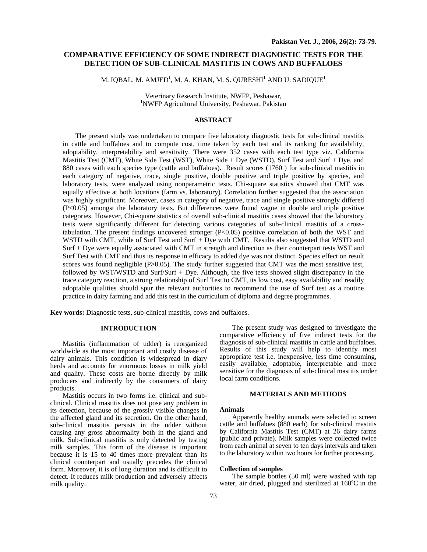# **COMPARATIVE EFFICIENCY OF SOME INDIRECT DIAGNOSTIC TESTS FOR THE DETECTION OF SUB-CLINICAL MASTITIS IN COWS AND BUFFALOES**

M. IQBAL, M. AMJED $^{\rm l}$ , M. A. KHAN, M. S. QURESHI $^{\rm l}$  AND U. SADIQUE $^{\rm l}$ 

Veterinary Research Institute, NWFP, Peshawar, 1 NWFP Agricultural University, Peshawar, Pakistan

# **ABSTRACT**

The present study was undertaken to compare five laboratory diagnostic tests for sub-clinical mastitis in cattle and buffaloes and to compute cost, time taken by each test and its ranking for availability, adoptability, interpretability and sensitivity. There were 352 cases with each test type viz. California Mastitis Test (CMT), White Side Test (WST), White Side + Dye (WSTD), Surf Test and Surf + Dye, and 880 cases with each species type (cattle and buffaloes). Result scores (1760 ) for sub-clinical mastitis in each category of negative, trace, single positive, double positive and triple positive by species, and laboratory tests, were analyzed using nonparametric tests. Chi-square statistics showed that CMT was equally effective at both locations (farm vs. laboratory). Correlation further suggested that the association was highly significant. Moreover, cases in category of negative, trace and single positive strongly differed (P<0.05) amongst the laboratory tests. But differences were found vague in double and triple positive categories. However, Chi-square statistics of overall sub-clinical mastitis cases showed that the laboratory tests were significantly different for detecting various categories of sub-clinical mastitis of a crosstabulation. The present findings uncovered stronger (P<0.05) positive correlation of both the WST and WSTD with CMT, while of Surf Test and Surf + Dye with CMT. Results also suggested that WSTD and Surf + Dye were equally associated with CMT in strength and direction as their counterpart tests WST and Surf Test with CMT and thus its response in efficacy to added dye was not distinct. Species effect on result scores was found negligible (P>0.05). The study further suggested that CMT was the most sensitive test, followed by WST/WSTD and Surf/Surf + Dye. Although, the five tests showed slight discrepancy in the trace category reaction, a strong relationship of Surf Test to CMT, its low cost, easy availability and readily adoptable qualities should spur the relevant authorities to recommend the use of Surf test as a routine practice in dairy farming and add this test in the curriculum of diploma and degree programmes.

**Key words:** Diagnostic tests, sub-clinical mastitis, cows and buffaloes.

## **INTRODUCTION**

Mastitis (inflammation of udder) is reorganized worldwide as the most important and costly disease of dairy animals. This condition is widespread in diary herds and accounts for enormous losses in milk yield and quality. These costs are borne directly by milk producers and indirectly by the consumers of dairy products.

Mastitis occurs in two forms i.e. clinical and subclinical. Clinical mastitis does not pose any problem in its detection, because of the grossly visible changes in the affected gland and its secretion. On the other hand, sub-clinical mastitis persists in the udder without causing any gross abnormality both in the gland and milk. Sub-clinical mastitis is only detected by testing milk samples. This form of the disease is important because it is 15 to 40 times more prevalent than its clinical counterpart and usually precedes the clinical form. Moreover, it is of long duration and is difficult to detect. It reduces milk production and adversely affects milk quality.

The present study was designed to investigate the comparative efficiency of five indirect tests for the diagnosis of sub-clinical mastitis in cattle and buffaloes. Results of this study will help to identify most appropriate test i.e. inexpensive, less time consuming, easily available, adoptable, interpretable and more sensitive for the diagnosis of sub-clinical mastitis under local farm conditions.

### **MATERIALS AND METHODS**

#### **Animals**

Apparently healthy animals were selected to screen cattle and buffaloes (880 each) for sub-clinical mastitis by California Mastitis Test (CMT) at 26 dairy farms (public and private). Milk samples were collected twice from each animal at seven to ten days intervals and taken to the laboratory within two hours for further processing.

### **Collection of samples**

The sample bottles (50 ml) were washed with tap water, air dried, plugged and sterilized at 160°C in the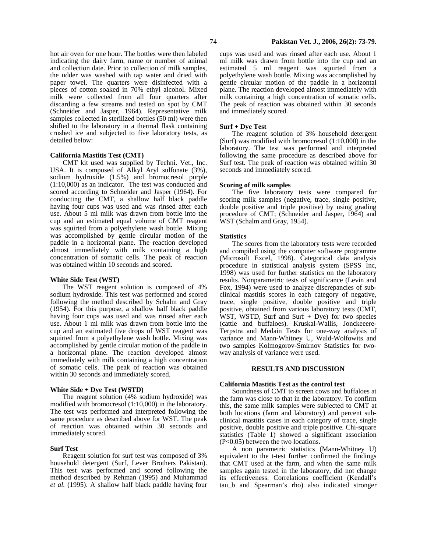hot air oven for one hour. The bottles were then labeled indicating the dairy farm, name or number of animal and collection date. Prior to collection of milk samples, the udder was washed with tap water and dried with paper towel. The quarters were disinfected with a pieces of cotton soaked in 70% ethyl alcohol. Mixed milk were collected from all four quarters after discarding a few streams and tested on spot by CMT (Schneider and Jasper, 1964). Representative milk samples collected in sterilized bottles (50 ml) were then shifted to the laboratory in a thermal flask containing crushed ice and subjected to five laboratory tests, as detailed below:

### **California Mastitis Test (CMT)**

CMT kit used was supplied by Techni. Vet., Inc. USA. It is composed of Alkyl Aryl sulfonate (3%), sodium hydroxide (1.5%) and bromocresol purple (1:10,000) as an indicator. The test was conducted and scored according to Schneider and Jasper (1964). For conducting the CMT, a shallow half black paddle having four cups was used and was rinsed after each use. About 5 ml milk was drawn from bottle into the cup and an estimated equal volume of CMT reagent was squirted from a polyethylene wash bottle. Mixing was accomplished by gentle circular motion of the paddle in a horizontal plane. The reaction developed almost immediately with milk containing a high concentration of somatic cells. The peak of reaction was obtained within 10 seconds and scored.

### **White Side Test (WST)**

The WST reagent solution is composed of 4% sodium hydroxide. This test was performed and scored following the method described by Schalm and Gray (1954). For this purpose, a shallow half black paddle having four cups was used and was rinsed after each use. About 1 ml milk was drawn from bottle into the cup and an estimated five drops of WST reagent was squirted from a polyethylene wash bottle. Mixing was accomplished by gentle circular motion of the paddle in a horizontal plane. The reaction developed almost immediately with milk containing a high concentration of somatic cells. The peak of reaction was obtained within 30 seconds and immediately scored.

### **White Side + Dye Test (WSTD)**

The reagent solution (4% sodium hydroxide) was modified with bromocresol (1:10,000) in the laboratory. The test was performed and interpreted following the same procedure as described above for WST. The peak of reaction was obtained within 30 seconds and immediately scored.

# **Surf Test**

Reagent solution for surf test was composed of 3% household detergent (Surf, Lever Brothers Pakistan). This test was performed and scored following the method described by Rehman (1995) and Muhammad *et al.* (1995). A shallow half black paddle having four cups was used and was rinsed after each use. About 1 ml milk was drawn from bottle into the cup and an estimated 5 ml reagent was squirted from a polyethylene wash bottle. Mixing was accomplished by gentle circular motion of the paddle in a horizontal plane. The reaction developed almost immediately with milk containing a high concentration of somatic cells. The peak of reaction was obtained within 30 seconds and immediately scored.

### **Surf + Dye Test**

The reagent solution of 3% household detergent (Surf) was modified with bromocresol (1:10,000) in the laboratory. The test was performed and interpreted following the same procedure as described above for Surf test. The peak of reaction was obtained within 30 seconds and immediately scored.

### **Scoring of milk samples**

The five laboratory tests were compared for scoring milk samples (negative, trace, single positive, double positive and triple positive) by using grading procedure of CMT; (Schneider and Jasper, 1964) and WST (Schalm and Gray, 1954).

### **Statistics**

The scores from the laboratory tests were recorded and compiled using the computer software programme (Microsoft Excel, 1998). Categorical data analysis procedure in statistical analysis system (SPSS Inc, 1998) was used for further statistics on the laboratory results. Nonparametric tests of significance (Levin and Fox, 1994) were used to analyze discrepancies of subclinical mastitis scores in each category of negative, trace, single positive, double positive and triple positive, obtained from various laboratory tests (CMT, WST, WSTD, Surf and Surf  $+$  Dye) for two species (cattle and buffaloes). Kruskal-Wallis, Jonckeeere-Terpstra and Medain Tests for one-way analysis of variance and Mann-Whitney U, Wald-Wolfowits and two samples Kolmogorov-Smirnov Statistics for twoway analysis of variance were used.

## **RESULTS AND DISCUSSION**

### **California Mastitis Test as the control test**

Soundness of CMT to screen cows and buffaloes at the farm was close to that in the laboratory. To confirm this, the same milk samples were subjected to CMT at both locations (farm and laboratory) and percent subclinical mastitis cases in each category of trace, single positive, double positive and triple positive. Chi-square statistics (Table 1) showed a significant association (P<0.05) between the two locations.

A non parametric statistics (Mann-Whitney U) equivalent to the t-test further confirmed the findings that CMT used at the farm, and when the same milk samples again tested in the laboratory, did not change its effectiveness. Correlations coefficient (Kendall's tau\_b and Spearman's rho) also indicated stronger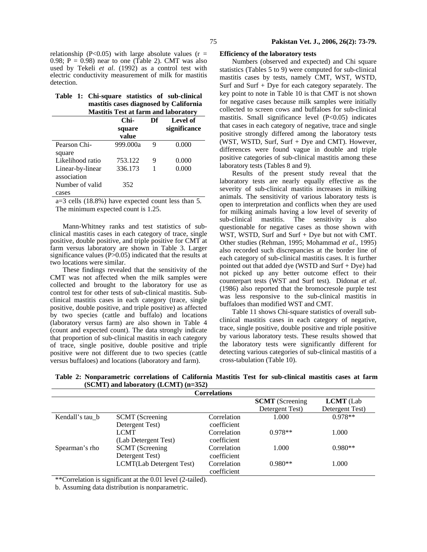|  | Table 1: Chi-square statistics of sub-clinical |  |                                        |
|--|------------------------------------------------|--|----------------------------------------|
|  |                                                |  | mastitis cases diagnosed by California |
|  | <b>Mastitis Test at farm and laboratory</b>    |  |                                        |

|                  | главная теж ат натигана навогатог у |    |              |  |  |  |
|------------------|-------------------------------------|----|--------------|--|--|--|
|                  | Chi-                                | Df | Level of     |  |  |  |
|                  | square                              |    | significance |  |  |  |
|                  | value                               |    |              |  |  |  |
| Pearson Chi-     | 999.000a                            | 9  | 0.000        |  |  |  |
| square           |                                     |    |              |  |  |  |
| Likelihood ratio | 753.122                             | 9  | 0.000        |  |  |  |
| Linear-by-linear | 336.173                             |    | 0.000        |  |  |  |
| association      |                                     |    |              |  |  |  |
| Number of valid  | 352                                 |    |              |  |  |  |
| cases            |                                     |    |              |  |  |  |

a=3 cells (18.8%) have expected count less than 5. The minimum expected count is 1.25.

Mann-Whitney ranks and test statistics of subclinical mastitis cases in each category of trace, single positive, double positive, and triple positive for CMT at farm versus laboratory are shown in Table 3. Larger significance values  $(P>0.05)$  indicated that the results at two locations were similar.

These findings revealed that the sensitivity of the CMT was not affected when the milk samples were collected and brought to the laboratory for use as control test for other tests of sub-clinical mastitis. Subclinical mastitis cases in each category (trace, single positive, double positive, and triple positive) as affected by two species (cattle and buffalo) and locations (laboratory versus farm) are also shown in Table 4 (count and expected count). The data strongly indicate that proportion of sub-clinical mastitis in each category of trace, single positive, double positive and triple positive were not different due to two species (cattle versus buffaloes) and locations (laboratory and farm).

### **Efficiency of the laboratory tests**

Numbers (observed and expected) and Chi square statistics (Tables 5 to 9) were computed for sub-clinical mastitis cases by tests, namely CMT, WST, WSTD, Surf and Surf + Dye for each category separately. The key point to note in Table 10 is that CMT is not shown for negative cases because milk samples were initially collected to screen cows and buffaloes for sub-clinical mastitis. Small significance level (P<0.05) indicates that cases in each category of negative, trace and single positive strongly differed among the laboratory tests (WST, WSTD, Surf, Surf + Dye and CMT). However, differences were found vague in double and triple positive categories of sub-clinical mastitis among these laboratory tests (Tables 8 and 9).

Results of the present study reveal that the laboratory tests are nearly equally effective as the severity of sub-clinical mastitis increases in milking animals. The sensitivity of various laboratory tests is open to interpretation and conflicts when they are used for milking animals having a low level of severity of sub-clinical mastitis. The sensitivity is also questionable for negative cases as those shown with WST, WSTD, Surf and Surf + Dye but not with CMT. Other studies (Rehman, 1995; Mohammad *et al.*, 1995) also recorded such discrepancies at the border line of each category of sub-clinical mastitis cases. It is further pointed out that added dye (WSTD and Surf + Dye) had not picked up any better outcome effect to their counterpart tests (WST and Surf test). Didonat *et al*. (1986) also reported that the bromocresole purple test was less responsive to the sub-clinical mastitis in buffaloes than modified WST and CMT.

Table 11 shows Chi-square statistics of overall subclinical mastitis cases in each category of negative, trace, single positive, double positive and triple positive by various laboratory tests. These results showed that the laboratory tests were significantly different for detecting various categories of sub-clinical mastitis of a cross-tabulation (Table 10).

**Table 2: Nonparametric correlations of California Mastitis Test for sub-clinical mastitis cases at farm (SCMT) and laboratory (LCMT) (n=352)**

|                 |                                  | <b>Correlations</b>        |                        |                  |
|-----------------|----------------------------------|----------------------------|------------------------|------------------|
|                 |                                  |                            | <b>SCMT</b> (Screening | <b>LCMT</b> (Lab |
|                 |                                  |                            | Detergent Test)        | Detergent Test)  |
| Kendall's tau b | <b>SCMT</b> (Screening           | Correlation                | 1.000                  | $0.978**$        |
|                 | Detergent Test)                  | coefficient                |                        |                  |
|                 | <b>LCMT</b>                      | Correlation                | $0.978**$              | 1.000            |
|                 | (Lab Detergent Test)             | coefficient                |                        |                  |
| Spearman's rho  | <b>SCMT</b> (Screening           | Correlation                | 1.000                  | $0.980**$        |
|                 | Detergent Test)                  | coefficient                |                        |                  |
|                 | <b>LCMT</b> (Lab Detergent Test) | Correlation<br>coefficient | $0.980**$              | 1.000            |

\*\*Correlation is significant at the 0.01 level (2-tailed).

b. Assuming data distribution is nonparametric.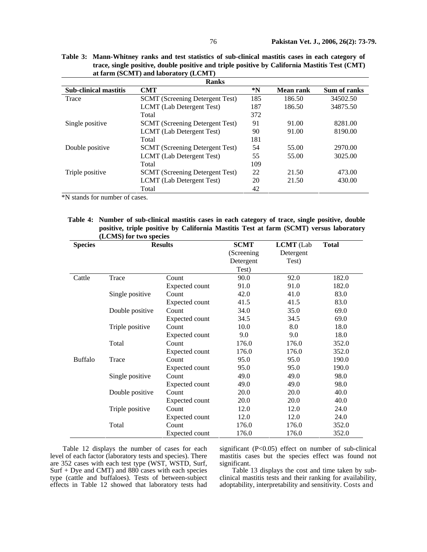| <b>Ranks</b>                 |                                        |     |           |              |  |  |
|------------------------------|----------------------------------------|-----|-----------|--------------|--|--|
| <b>Sub-clinical mastitis</b> | <b>CMT</b>                             | *N  | Mean rank | Sum of ranks |  |  |
| Trace                        | <b>SCMT</b> (Screening Detergent Test) | 185 | 186.50    | 34502.50     |  |  |
|                              | LCMT (Lab Detergent Test)              | 187 | 186.50    | 34875.50     |  |  |
|                              | Total                                  | 372 |           |              |  |  |
| Single positive              | <b>SCMT</b> (Screening Detergent Test) | 91  | 91.00     | 8281.00      |  |  |
|                              | LCMT (Lab Detergent Test)              | 90  | 91.00     | 8190.00      |  |  |
|                              | Total                                  | 181 |           |              |  |  |
| Double positive              | <b>SCMT</b> (Screening Detergent Test) | 54  | 55.00     | 2970.00      |  |  |
|                              | LCMT (Lab Detergent Test)              | 55  | 55.00     | 3025.00      |  |  |
|                              | Total                                  | 109 |           |              |  |  |
| Triple positive              | <b>SCMT</b> (Screening Detergent Test) | 22  | 21.50     | 473.00       |  |  |
|                              | LCMT (Lab Detergent Test)              | 20  | 21.50     | 430.00       |  |  |
|                              | Total                                  | 42  |           |              |  |  |

**Table 3: Mann-Whitney ranks and test statistics of sub-clinical mastitis cases in each category of trace, single positive, double positive and triple positive by California Mastitis Test (CMT) at farm (SCMT) and laboratory (LCMT)**

\*N stands for number of cases.

**Table 4: Number of sub-clinical mastitis cases in each category of trace, single positive, double positive, triple positive by California Mastitis Test at farm (SCMT) versus laboratory (LCMS) for two species** 

| <b>Species</b> |                 | <b>Results</b>        | <b>SCMT</b> | <b>LCMT</b> (Lab | <b>Total</b> |
|----------------|-----------------|-----------------------|-------------|------------------|--------------|
|                |                 |                       | (Screening) | Detergent        |              |
|                |                 |                       | Detergent   | Test)            |              |
|                |                 |                       | Test)       |                  |              |
| Cattle         | Trace           | Count                 | 90.0        | 92.0             | 182.0        |
|                |                 | <b>Expected count</b> | 91.0        | 91.0             | 182.0        |
|                | Single positive | Count                 | 42.0        | 41.0             | 83.0         |
|                |                 | Expected count        | 41.5        | 41.5             | 83.0         |
|                | Double positive | Count                 | 34.0        | 35.0             | 69.0         |
|                |                 | Expected count        | 34.5        | 34.5             | 69.0         |
|                | Triple positive | Count                 | 10.0        | 8.0              | 18.0         |
|                |                 | Expected count        | 9.0         | 9.0              | 18.0         |
|                | Total           | Count                 | 176.0       | 176.0            | 352.0        |
|                |                 | Expected count        | 176.0       | 176.0            | 352.0        |
| <b>Buffalo</b> | Trace           | Count                 | 95.0        | 95.0             | 190.0        |
|                |                 | Expected count        | 95.0        | 95.0             | 190.0        |
|                | Single positive | Count                 | 49.0        | 49.0             | 98.0         |
|                |                 | Expected count        | 49.0        | 49.0             | 98.0         |
|                | Double positive | Count                 | 20.0        | 20.0             | 40.0         |
|                |                 | <b>Expected count</b> | 20.0        | 20.0             | 40.0         |
|                | Triple positive | Count                 | 12.0        | 12.0             | 24.0         |
|                |                 | Expected count        | 12.0        | 12.0             | 24.0         |
|                | Total           | Count                 | 176.0       | 176.0            | 352.0        |
|                |                 | Expected count        | 176.0       | 176.0            | 352.0        |

Table 12 displays the number of cases for each level of each factor (laboratory tests and species). There are 352 cases with each test type (WST, WSTD, Surf, Surf + Dye and CMT) and 880 cases with each species type (cattle and buffaloes). Tests of between-subject effects in Table 12 showed that laboratory tests had

significant (P<0.05) effect on number of sub-clinical mastitis cases but the species effect was found not significant.

Table 13 displays the cost and time taken by subclinical mastitis tests and their ranking for availability, adoptability, interpretability and sensitivity. Costs and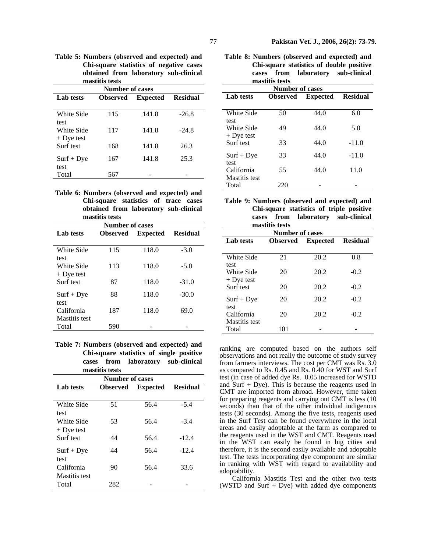**Table 5: Numbers (observed and expected) and Chi-square statistics of negative cases obtained from laboratory sub-clinical mastitis tests** 

| <b>Number of cases</b>    |                 |                 |                 |  |  |  |
|---------------------------|-----------------|-----------------|-----------------|--|--|--|
| <b>Lab</b> tests          | <b>Observed</b> | <b>Expected</b> | <b>Residual</b> |  |  |  |
| White Side                | 115             | 141.8           | $-26.8$         |  |  |  |
| test<br>White Side        | 117             | 141.8           | $-24.8$         |  |  |  |
| $+$ Dye test<br>Surf test | 168             | 141.8           | 26.3            |  |  |  |
| $Surf + Dye$              | 167             | 141.8           | 25.3            |  |  |  |
| test<br>Total             | 567             |                 |                 |  |  |  |

**Table 6: Numbers (observed and expected) and Chi-square statistics of trace cases obtained from laboratory sub-clinical mastitis tests** 

| <b>Number of cases</b> |                 |                 |                 |  |  |  |
|------------------------|-----------------|-----------------|-----------------|--|--|--|
| <b>Lab</b> tests       | <b>Observed</b> | <b>Expected</b> | <b>Residual</b> |  |  |  |
|                        |                 |                 |                 |  |  |  |
| White Side             | 115             | 118.0           | $-3.0$          |  |  |  |
| test                   |                 |                 |                 |  |  |  |
| White Side             | 113             | 118.0           | $-5.0$          |  |  |  |
| $+$ Dye test           |                 |                 |                 |  |  |  |
| Surf test              | 87              | 118.0           | $-31.0$         |  |  |  |
|                        |                 |                 |                 |  |  |  |
| $Surf + Dye$           | 88              | 118.0           | $-30.0$         |  |  |  |
| test                   |                 |                 |                 |  |  |  |
| California             | 187             | 118.0           | 69.0            |  |  |  |
| Mastitis test          |                 |                 |                 |  |  |  |
| Total                  | 590             |                 |                 |  |  |  |

**Table 7: Numbers (observed and expected) and Chi-square statistics of single positive cases from laboratory sub-clinical mastitis tests** 

| <b>Number of cases</b>      |                 |                 |                 |  |  |  |
|-----------------------------|-----------------|-----------------|-----------------|--|--|--|
| <b>Lab</b> tests            | <b>Observed</b> | <b>Expected</b> | <b>Residual</b> |  |  |  |
| White Side                  | 51              | 56.4            | $-5.4$          |  |  |  |
| test<br>White Side          | 53              | 56.4            | $-3.4$          |  |  |  |
| $+$ Dye test<br>Surf test   | 44              | 56.4            | $-12.4$         |  |  |  |
| $Surf + Dye$<br>test        | 44              | 56.4            | $-12.4$         |  |  |  |
| California<br>Mastitis test | 90              | 56.4            | 33.6            |  |  |  |
| Total                       | 282             |                 |                 |  |  |  |

|  |                | Table 8: Numbers (observed and expected) and |
|--|----------------|----------------------------------------------|
|  |                | Chi-square statistics of double positive     |
|  |                | cases from laboratory sub-clinical           |
|  | mastitis tests |                                              |

| <b>Number of cases</b> |                 |                 |                 |  |  |
|------------------------|-----------------|-----------------|-----------------|--|--|
| <b>Lab</b> tests       | <b>Observed</b> | <b>Expected</b> | <b>Residual</b> |  |  |
|                        |                 |                 |                 |  |  |
| White Side             | 50              | 44.0            | 6.0             |  |  |
| test                   |                 |                 |                 |  |  |
| White Side             | 49              | 44.0            | 5.0             |  |  |
| $+$ Dye test           |                 |                 |                 |  |  |
| Surf test              | 33              | 44.0            | $-11.0$         |  |  |
| $Surf + Dye$           | 33              | 44.0            | $-11.0$         |  |  |
| test                   |                 |                 |                 |  |  |
| California             | 55              | 44.0            | 11.0            |  |  |
| <b>Mastitis</b> test   |                 |                 |                 |  |  |
| Total                  | 220             |                 |                 |  |  |

|                |  | Table 9: Numbers (observed and expected) and<br>Chi-square statistics of triple positive |
|----------------|--|------------------------------------------------------------------------------------------|
| mastitis tests |  | cases from laboratory sub-clinical                                                       |

| <b>Number of cases</b>                     |                 |                 |                 |  |  |  |
|--------------------------------------------|-----------------|-----------------|-----------------|--|--|--|
| <b>Lab</b> tests                           | <b>Observed</b> | <b>Expected</b> | <b>Residual</b> |  |  |  |
| <b>White Side</b>                          | 21              | 20.2            | 0.8             |  |  |  |
| test<br>White Side                         | 20              | 20.2            | $-0.2$          |  |  |  |
| $+$ Dye test<br>Surf test                  | 20              | 20.2            | $-0.2$          |  |  |  |
| $Surf + Dye$                               | 20              | 20.2            | $-0.2$          |  |  |  |
| test<br>California<br><b>Mastitis</b> test | 20              | 20.2            | $-0.2$          |  |  |  |
| Total                                      | 101             |                 |                 |  |  |  |

ranking are computed based on the authors self observations and not really the outcome of study survey from farmers interviews. The cost per CMT was Rs. 3.0 as compared to Rs. 0.45 and Rs. 0.40 for WST and Surf test (in case of added dye Rs. 0.05 increased for WSTD and Surf + Dye). This is because the reagents used in CMT are imported from abroad. However, time taken for preparing reagents and carrying out CMT is less (10 seconds) than that of the other individual indigenous tests (30 seconds). Among the five tests, reagents used in the Surf Test can be found everywhere in the local areas and easily adoptable at the farm as compared to the reagents used in the WST and CMT. Reagents used in the WST can easily be found in big cities and therefore, it is the second easily available and adoptable test. The tests incorporating dye component are similar in ranking with WST with regard to availability and adoptability.

California Mastitis Test and the other two tests (WSTD and Surf + Dye) with added dye components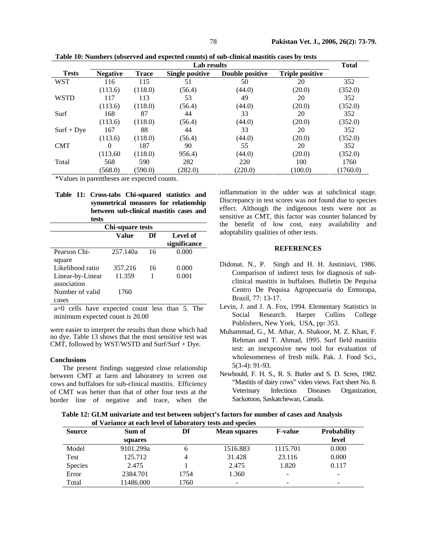| Lab results  |                 |              |                        |                 |                        | <b>Total</b> |
|--------------|-----------------|--------------|------------------------|-----------------|------------------------|--------------|
| <b>Tests</b> | <b>Negative</b> | <b>Trace</b> | <b>Single positive</b> | Double positive | <b>Triple positive</b> |              |
| <b>WST</b>   | 116             | 115          | 51                     | 50              | 20                     | 352          |
|              | (113.6)         | (118.0)      | (56.4)                 | (44.0)          | (20.0)                 | (352.0)      |
| <b>WSTD</b>  | 117             | 113          | 53                     | 49              | 20                     | 352          |
|              | (113.6)         | (118.0)      | (56.4)                 | (44.0)          | (20.0)                 | (352.0)      |
| Surf         | 168             | 87           | 44                     | 33              | 20                     | 352          |
|              | (113.6)         | (118.0)      | (56.4)                 | (44.0)          | (20.0)                 | (352.0)      |
| $Surf + Dye$ | 167             | 88           | 44                     | 33              | 20                     | 352          |
|              | (113.6)         | (118.0)      | (56.4)                 | (44.0)          | (20.0)                 | (352.0)      |
| <b>CMT</b>   | 0               | 187          | 90                     | 55              | 20                     | 352          |
|              | (113.60)        | (118.0)      | 956.4)                 | (44.0)          | (20.0)                 | (352.0)      |
| Total        | 568             | 590          | 282                    | 220             | 100                    | 1760         |
|              | (568.0)         | (590.0)      | (282.0)                | (220.0)         | (100.0)                | (1760.0)     |
|              |                 |              |                        |                 |                        |              |

**Table 10: Numbers (observed and expected counts) of sub-clinical mastitis cases by tests** 

\*Values in parentheses are expected counts.

|  | Table 11: Cross-tabs Chi-squared statistics and |  |  |  |  |
|--|-------------------------------------------------|--|--|--|--|
|  | symmetrical measures for relationship           |  |  |  |  |
|  | between sub-clinical mastitis cases and         |  |  |  |  |
|  | tests                                           |  |  |  |  |

| Chi-square tests |          |    |              |  |  |
|------------------|----------|----|--------------|--|--|
|                  | Value    | Df | Level of     |  |  |
|                  |          |    | significance |  |  |
| Pearson Chi-     | 257.140a | 16 | 0.000        |  |  |
| square           |          |    |              |  |  |
| Likelihood ratio | 357.216  | 16 | 0.000        |  |  |
| Linear-by-Linear | 11.359   |    | 0.001        |  |  |
| association      |          |    |              |  |  |
| Number of valid  | 1760     |    |              |  |  |
| cases            |          |    |              |  |  |
|                  |          |    |              |  |  |

a=0 cells have expected count less than 5. The minimum expected count is 20.00

were easier to interpret the results than those which had no dye. Table 13 shows that the most sensitive test was CMT, followed by WST/WSTD and Surf/Surf + Dye.

## **Conclusions**

The present findings suggested close relationship between CMT at farm and laboratory to screen out cows and buffaloes for sub-clinical mastitis. Efficiency of CMT was better than that of other four tests at the border line of negative and trace, when the

inflammation in the udder was at subclinical stage. Discrepancy in test scores was not found due to species effect. Although the indigenous tests were not as sensitive as CMT, this factor was counter balanced by the benefit of low cost, easy availability and adoptability qualities of other tests.

# **REFERENCES**

- Didonat. N., P. Singh and H. H. Justiniavi, 1986. Comparison of indirect tests for diagnosis of subclinical mastitis in buffaloes. Bulletin De Pequisa Centro De Pequisa Agropecuaria do Emtorapa, Brazil, 77: 13-17.
- Levin, J. and J. A. Fox, 1994. Elementary Statistics in Social Research. Harper Collins College Publishers, New York, USA, pp: 353.
- Muhammad, G., M. Athar, A. Shakoor, M. Z. Khan, F. Rehman and T. Ahmad, 1995. Surf field mastitis test: an inexpensive new tool for evaluation of wholesomeness of fresh milk. Pak. J. Food Sci., 5(3-4): 91-93.
- Newbould, F. H. S., R. S. Butler and S. D. Scres, 1982. "Mastitis of dairy cows" video views. Fact sheet No. 8. Veterinary Infectious Diseases Organization, Sackotoon, Saskatchewan, Canada.

**Table 12: GLM univariate and test between subject's factors for number of cases and Analysis of Variance at each level of laboratory tests and species** 

| <b>Source</b> | Sum of    | Df   | <b>Mean squares</b> | <b>F-value</b> | <b>Probability</b> |
|---------------|-----------|------|---------------------|----------------|--------------------|
|               | squares   |      |                     |                | level              |
| Model         | 9101.299a | h    | 1516.883            | 1115.701       | 0.000              |
| Test          | 125.712   | 4    | 31.428              | 23.116         | 0.000              |
| Species       | 2.475     |      | 2.475               | 1.820          | 0.117              |
| Error         | 2384.701  | 1754 | 1.360               | -              | ۰                  |
| Total         | 11486.000 | 1760 | -                   | -              | ۰                  |